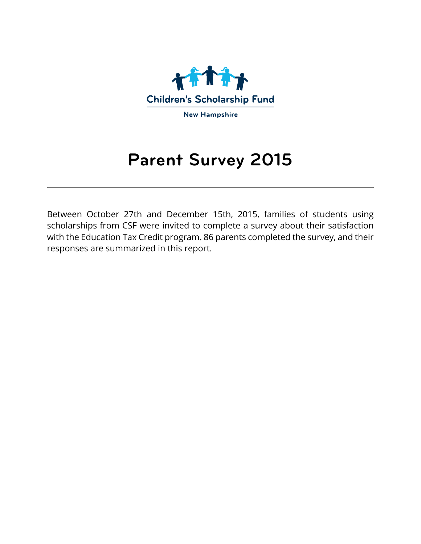

# **Parent Survey 2015**

Between October 27th and December 15th, 2015, families of students using scholarships from CSF were invited to complete a survey about their satisfaction with the Education Tax Credit program. 86 parents completed the survey, and their responses are summarized in this report.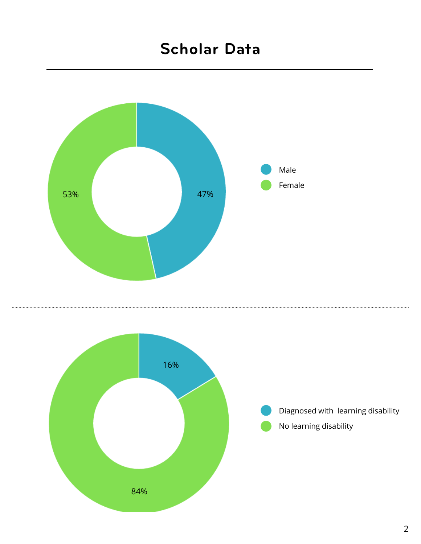### **Scholar Data**



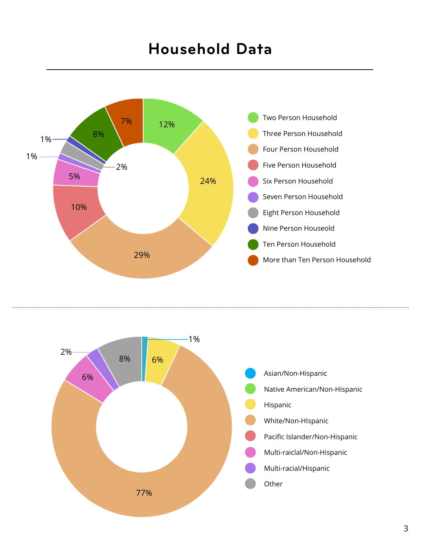### **Household Data**



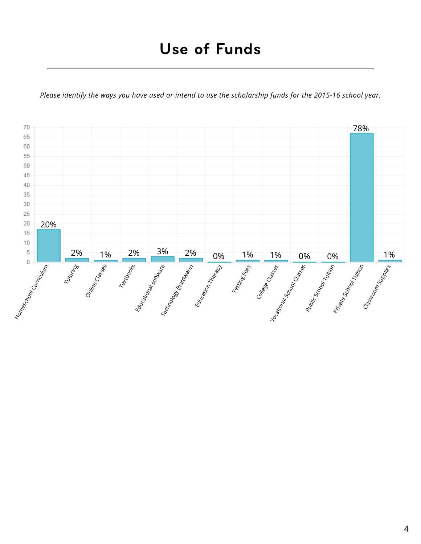*Please identify the ways you have used or intend to use the scholarship funds for the 2015-16 school year.*

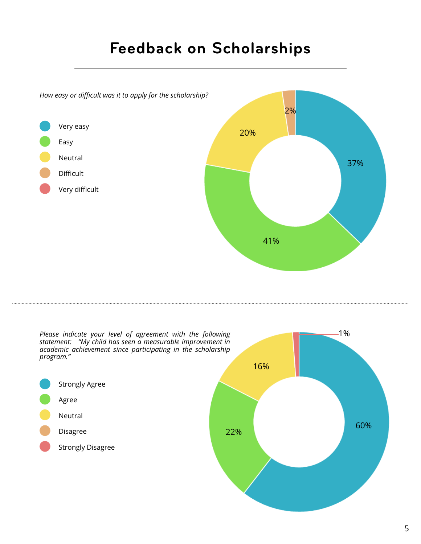## **Feedback on Scholarships**



Please indicate your level of agreement with the following *and a structure of the structure of*  $\sim$  1% *statement: "My child has seen a measurable improvement in academic achievement since participating in the scholarship program."*



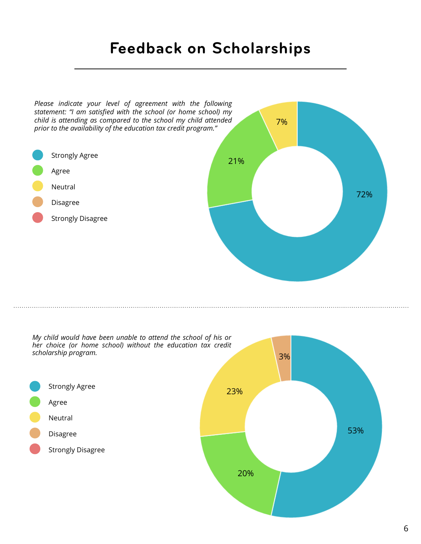### **Feedback on Scholarships**



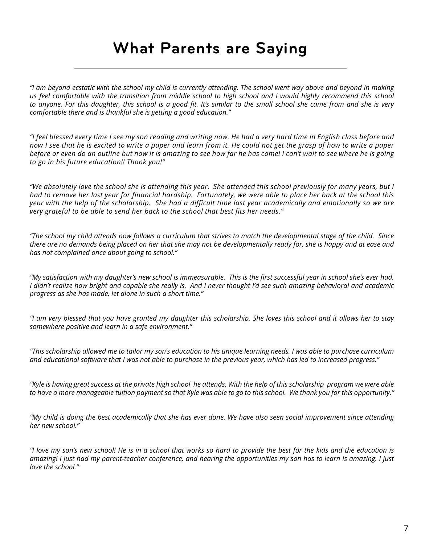### **What Parents are Saying**

*"I am beyond ecstatic with the school my child is currently attending. The school went way above and beyond in making*  us feel comfortable with the transition from middle school to high school and I would highly recommend this school *to anyone. For this daughter, this school is a good fit. It's similar to the small school she came from and she is very comfortable there and is thankful she is getting a good education."*

*"I feel blessed every time I see my son reading and writing now. He had a very hard time in English class before and now I see that he is excited to write a paper and learn from it. He could not get the grasp of how to write a paper before or even do an outline but now it is amazing to see how far he has come! I can't wait to see where he is going to go in his future education!! Thank you!"*

*"We absolutely love the school she is attending this year. She attended this school previously for many years, but I had to remove her last year for financial hardship. Fortunately, we were able to place her back at the school this year with the help of the scholarship. She had a difficult time last year academically and emotionally so we are very grateful to be able to send her back to the school that best fits her needs."*

*"The school my child attends now follows a curriculum that strives to match the developmental stage of the child. Since there are no demands being placed on her that she may not be developmentally ready for, she is happy and at ease and has not complained once about going to school."*

*"My satisfaction with my daughter's new school is immeasurable. This is the first successful year in school she's ever had. I didn't realize how bright and capable she really is. And I never thought I'd see such amazing behavioral and academic progress as she has made, let alone in such a short time."*

*"I am very blessed that you have granted my daughter this scholarship. She loves this school and it allows her to stay somewhere positive and learn in a safe environment."*

*"This scholarship allowed me to tailor my son's education to his unique learning needs. I was able to purchase curriculum and educational software that I was not able to purchase in the previous year, which has led to increased progress."*

*"Kyle is having great success at the private high school he attends. With the help of this scholarship program we were able to have a more manageable tuition payment so that Kyle was able to go to this school. We thank you for this opportunity."* 

*"My child is doing the best academically that she has ever done. We have also seen social improvement since attending her new school."*

*"I love my son's new school! He is in a school that works so hard to provide the best for the kids and the education is amazing! I just had my parent-teacher conference, and hearing the opportunities my son has to learn is amazing. I just love the school."*